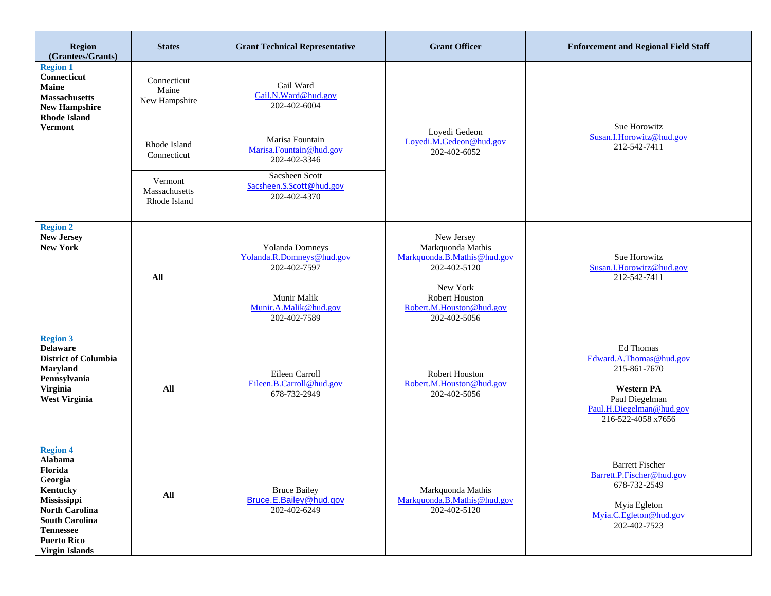| Region<br>(Grantees/Grants)                                                                                                                                                                      | <b>States</b>                            | <b>Grant Technical Representative</b>                                                                                | <b>Grant Officer</b>                                                                                                                                     | <b>Enforcement and Regional Field Staff</b>                                                                                                   |
|--------------------------------------------------------------------------------------------------------------------------------------------------------------------------------------------------|------------------------------------------|----------------------------------------------------------------------------------------------------------------------|----------------------------------------------------------------------------------------------------------------------------------------------------------|-----------------------------------------------------------------------------------------------------------------------------------------------|
| <b>Region 1</b><br>Connecticut<br><b>Maine</b><br><b>Massachusetts</b><br><b>New Hampshire</b><br><b>Rhode Island</b><br><b>Vermont</b>                                                          | Connecticut<br>Maine<br>New Hampshire    | Gail Ward<br>Gail.N.Ward@hud.gov<br>202-402-6004                                                                     |                                                                                                                                                          | Sue Horowitz                                                                                                                                  |
|                                                                                                                                                                                                  | Rhode Island<br>Connecticut              | Marisa Fountain<br>Marisa.Fountain@hud.gov<br>202-402-3346                                                           | Loyedi Gedeon<br>Loyedi.M.Gedeon@hud.gov<br>202-402-6052                                                                                                 | Susan.I.Horowitz@hud.gov<br>212-542-7411                                                                                                      |
|                                                                                                                                                                                                  | Vermont<br>Massachusetts<br>Rhode Island | Sacsheen Scott<br>Sacsheen.S.Scott@hud.gov<br>202-402-4370                                                           |                                                                                                                                                          |                                                                                                                                               |
| <b>Region 2</b><br><b>New Jersey</b><br><b>New York</b>                                                                                                                                          | All                                      | Yolanda Domneys<br>Yolanda.R.Domneys@hud.gov<br>202-402-7597<br>Munir Malik<br>Munir.A.Malik@hud.gov<br>202-402-7589 | New Jersey<br>Markquonda Mathis<br>Markquonda.B.Mathis@hud.gov<br>202-402-5120<br>New York<br>Robert Houston<br>Robert.M.Houston@hud.gov<br>202-402-5056 | Sue Horowitz<br>Susan.I.Horowitz@hud.gov<br>212-542-7411                                                                                      |
| <b>Region 3</b><br><b>Delaware</b><br><b>District of Columbia</b><br><b>Maryland</b><br>Pennsylvania<br><b>Virginia</b><br><b>West Virginia</b>                                                  | All                                      | Eileen Carroll<br>Eileen.B.Carroll@hud.gov<br>678-732-2949                                                           | Robert Houston<br>Robert.M.Houston@hud.gov<br>202-402-5056                                                                                               | Ed Thomas<br>Edward.A.Thomas@hud.gov<br>215-861-7670<br><b>Western PA</b><br>Paul Diegelman<br>Paul.H.Diegelman@hud.gov<br>216-522-4058 x7656 |
| <b>Region 4</b><br>Alabama<br>Florida<br>Georgia<br>Kentucky<br>Mississippi<br><b>North Carolina</b><br><b>South Carolina</b><br><b>Tennessee</b><br><b>Puerto Rico</b><br><b>Virgin Islands</b> | All                                      | <b>Bruce Bailey</b><br>Bruce.E.Bailey@hud.gov<br>202-402-6249                                                        | Markquonda Mathis<br>Markquonda.B.Mathis@hud.gov<br>202-402-5120                                                                                         | <b>Barrett Fischer</b><br>Barrett.P.Fischer@hud.gov<br>678-732-2549<br>Myia Egleton<br>Myia.C.Egleton@hud.gov<br>202-402-7523                 |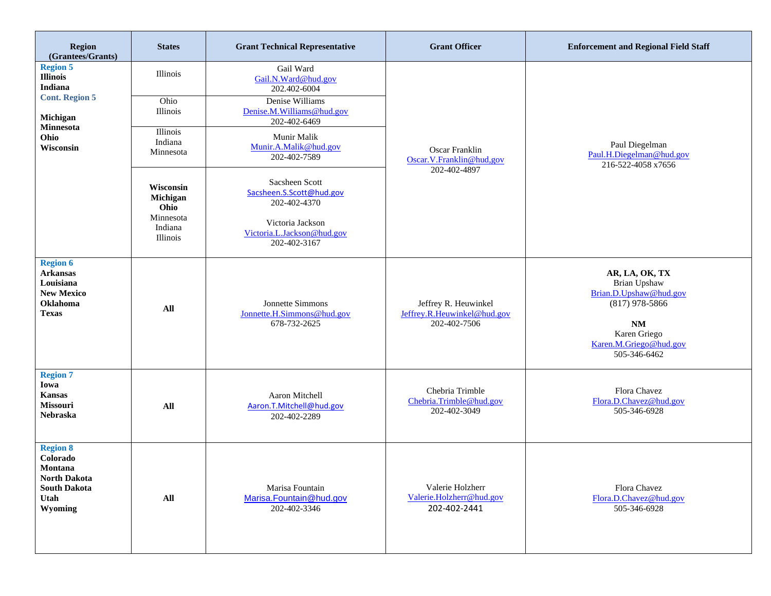| Region<br>(Grantees/Grants)                                                                                                 | <b>States</b>                                                                                                                         | <b>Grant Technical Representative</b>                                                                                                                                                                                                                                                                    | <b>Grant Officer</b>                                                | <b>Enforcement and Regional Field Staff</b>                                                                                                         |
|-----------------------------------------------------------------------------------------------------------------------------|---------------------------------------------------------------------------------------------------------------------------------------|----------------------------------------------------------------------------------------------------------------------------------------------------------------------------------------------------------------------------------------------------------------------------------------------------------|---------------------------------------------------------------------|-----------------------------------------------------------------------------------------------------------------------------------------------------|
| <b>Region 5</b><br><b>Illinois</b><br><b>Indiana</b><br><b>Cont. Region 5</b><br>Michigan<br>Minnesota<br>Ohio<br>Wisconsin | Illinois<br>Ohio<br>Illinois<br>Illinois<br>Indiana<br>Minnesota<br>Wisconsin<br>Michigan<br>Ohio<br>Minnesota<br>Indiana<br>Illinois | Gail Ward<br>Gail.N.Ward@hud.gov<br>202.402-6004<br>Denise Williams<br>Denise.M.Williams@hud.gov<br>202-402-6469<br>Munir Malik<br>Munir.A.Malik@hud.gov<br>202-402-7589<br>Sacsheen Scott<br>Sacsheen.S.Scott@hud.gov<br>202-402-4370<br>Victoria Jackson<br>Victoria.L.Jackson@hud.gov<br>202-402-3167 | Oscar Franklin<br>Oscar.V.Franklin@hud,gov<br>202-402-4897          | Paul Diegelman<br>Paul.H.Diegelman@hud.gov<br>216-522-4058 x7656                                                                                    |
| <b>Region 6</b><br><b>Arkansas</b><br>Louisiana<br><b>New Mexico</b><br><b>Oklahoma</b><br><b>Texas</b>                     | All                                                                                                                                   | Jonnette Simmons<br>Jonnette.H.Simmons@hud.gov<br>678-732-2625                                                                                                                                                                                                                                           | Jeffrey R. Heuwinkel<br>Jeffrey.R.Heuwinkel@hud.gov<br>202-402-7506 | AR, LA, OK, TX<br>Brian Upshaw<br>Brian.D.Upshaw@hud.gov<br>$(817)$ 978-5866<br><b>NM</b><br>Karen Griego<br>Karen.M.Griego@hud.gov<br>505-346-6462 |
| <b>Region 7</b><br>Iowa<br><b>Kansas</b><br><b>Missouri</b><br><b>Nebraska</b>                                              | All                                                                                                                                   | Aaron Mitchell<br>Aaron.T.Mitchell@hud.gov<br>202-402-2289                                                                                                                                                                                                                                               | Chebria Trimble<br>Chebria.Trimble@hud.gov<br>202-402-3049          | Flora Chavez<br>Flora.D.Chavez@hud.gov<br>505-346-6928                                                                                              |
| <b>Region 8</b><br>Colorado<br>Montana<br><b>North Dakota</b><br><b>South Dakota</b><br>Utah<br>Wyoming                     | All                                                                                                                                   | Marisa Fountain<br>Marisa.Fountain@hud.gov<br>202-402-3346                                                                                                                                                                                                                                               | Valerie Holzherr<br>Valerie.Holzherr@hud.gov<br>202-402-2441        | Flora Chavez<br>Flora.D.Chavez@hud.gov<br>505-346-6928                                                                                              |